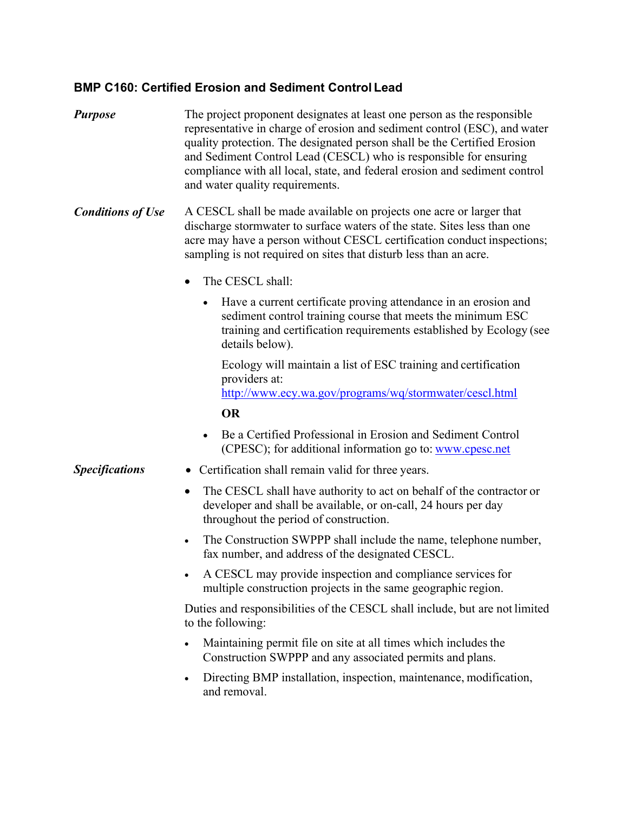## **BMP C160: Certified Erosion and Sediment Control Lead**

- *Purpose* The project proponent designates at least one person as the responsible representative in charge of erosion and sediment control (ESC), and water quality protection. The designated person shall be the Certified Erosion and Sediment Control Lead (CESCL) who is responsible for ensuring compliance with all local, state, and federal erosion and sediment control and water quality requirements.
- *Conditions of Use* A CESCL shall be made available on projects one acre or larger that discharge stormwater to surface waters of the state. Sites less than one acre may have a person without CESCL certification conduct inspections; sampling is not required on sites that disturb less than an acre.
	- The CESCL shall:
		- Have a current certificate proving attendance in an erosion and sediment control training course that meets the minimum ESC training and certification requirements established by Ecology (see details below).

Ecology will maintain a list of ESC training and certification providers at: <http://www.ecy.wa.gov/programs/wq/stormwater/cescl.html>

**OR**

 Be a Certified Professional in Erosion and Sediment Control (CPESC); for additional information go to: [www.cpesc.net](http://www.cpesc.net/)

## **Specifications** • Certification shall remain valid for three years.

- The CESCL shall have authority to act on behalf of the contractor or developer and shall be available, or on-call, 24 hours per day throughout the period of construction.
- The Construction SWPPP shall include the name, telephone number, fax number, and address of the designated CESCL.
- A CESCL may provide inspection and compliance services for multiple construction projects in the same geographic region.

Duties and responsibilities of the CESCL shall include, but are not limited to the following:

- Maintaining permit file on site at all times which includes the Construction SWPPP and any associated permits and plans.
- Directing BMP installation, inspection, maintenance, modification, and removal.